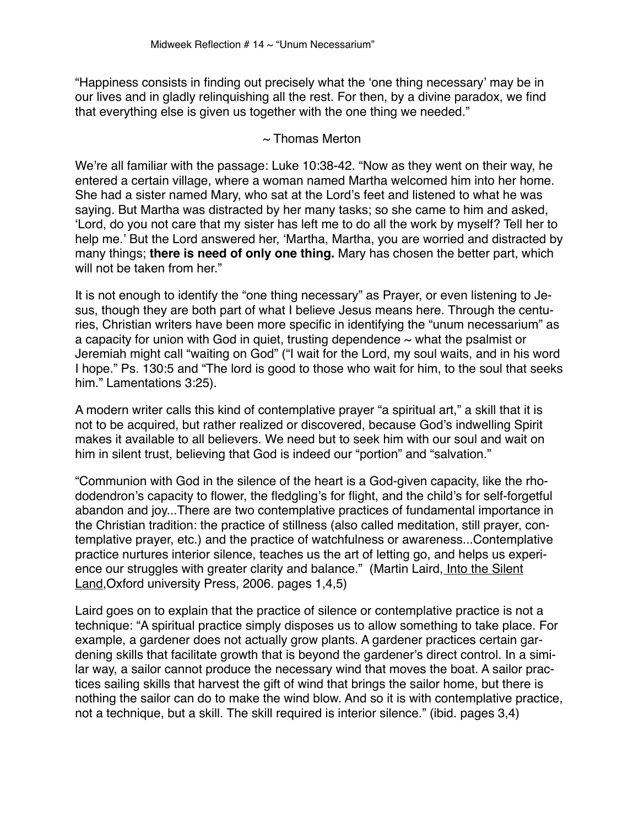"Happiness consists in finding out precisely what the 'one thing necessary' may be in our lives and in gladly relinquishing all the rest. For then, by a divine paradox, we find that everything else is given us together with the one thing we needed."

## $\sim$  Thomas Merton

We're all familiar with the passage: Luke 10:38-42. "Now as they went on their way, he entered a certain village, where a woman named Martha welcomed him into her home. She had a sister named Mary, who sat at the Lord's feet and listened to what he was saying. But Martha was distracted by her many tasks; so she came to him and asked, 'Lord, do you not care that my sister has left me to do all the work by myself? Tell her to help me.' But the Lord answered her, 'Martha, Martha, you are worried and distracted by many things; **there is need of only one thing.** Mary has chosen the better part, which will not be taken from her."

It is not enough to identify the "one thing necessary" as Prayer, or even listening to Jesus, though they are both part of what I believe Jesus means here. Through the centuries, Christian writers have been more specific in identifying the "unum necessarium" as a capacity for union with God in quiet, trusting dependence  $\sim$  what the psalmist or Jeremiah might call "waiting on God" ("I wait for the Lord, my soul waits, and in his word I hope." Ps. 130:5 and "The lord is good to those who wait for him, to the soul that seeks him." Lamentations 3:25).

A modern writer calls this kind of contemplative prayer "a spiritual art," a skill that it is not to be acquired, but rather realized or discovered, because God's indwelling Spirit makes it available to all believers. We need but to seek him with our soul and wait on him in silent trust, believing that God is indeed our "portion" and "salvation."

"Communion with God in the silence of the heart is a God-given capacity, like the rhododendron's capacity to flower, the fledgling's for flight, and the child's for self-forgetful abandon and joy...There are two contemplative practices of fundamental importance in the Christian tradition: the practice of stillness (also called meditation, still prayer, contemplative prayer, etc.) and the practice of watchfulness or awareness...Contemplative practice nurtures interior silence, teaches us the art of letting go, and helps us experience our struggles with greater clarity and balance." (Martin Laird, Into the Silent Land,Oxford university Press, 2006. pages 1,4,5)

Laird goes on to explain that the practice of silence or contemplative practice is not a technique: "A spiritual practice simply disposes us to allow something to take place. For example, a gardener does not actually grow plants. A gardener practices certain gardening skills that facilitate growth that is beyond the gardener's direct control. In a similar way, a sailor cannot produce the necessary wind that moves the boat. A sailor practices sailing skills that harvest the gift of wind that brings the sailor home, but there is nothing the sailor can do to make the wind blow. And so it is with contemplative practice, not a technique, but a skill. The skill required is interior silence." (ibid. pages 3,4)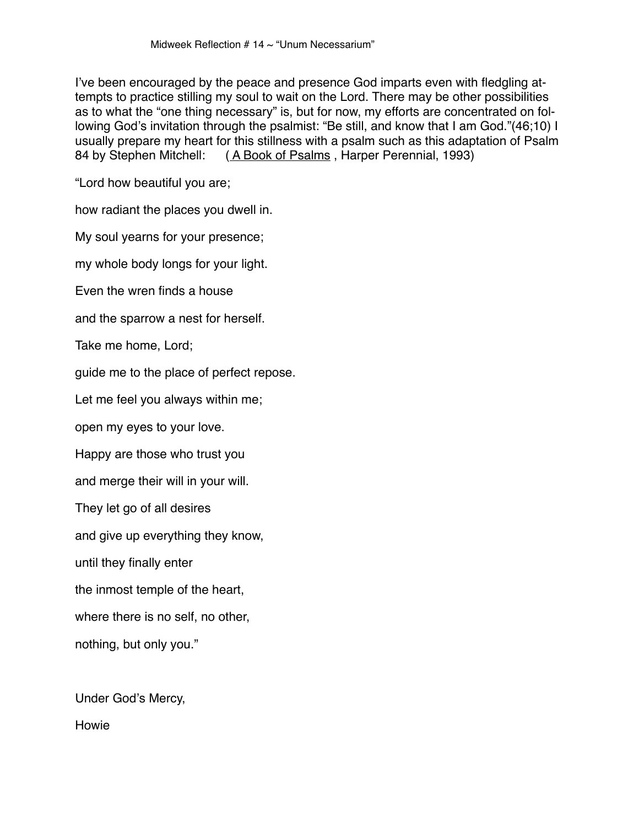I've been encouraged by the peace and presence God imparts even with fledgling attempts to practice stilling my soul to wait on the Lord. There may be other possibilities as to what the "one thing necessary" is, but for now, my efforts are concentrated on following God's invitation through the psalmist: "Be still, and know that I am God."(46;10) I usually prepare my heart for this stillness with a psalm such as this adaptation of Psalm 84 by Stephen Mitchell: ( A Book of Psalms , Harper Perennial, 1993)

"Lord how beautiful you are;

how radiant the places you dwell in.

My soul yearns for your presence;

my whole body longs for your light.

Even the wren finds a house

and the sparrow a nest for herself.

Take me home, Lord;

guide me to the place of perfect repose.

Let me feel you always within me;

open my eyes to your love.

Happy are those who trust you

and merge their will in your will.

They let go of all desires

and give up everything they know,

until they finally enter

the inmost temple of the heart,

where there is no self, no other,

nothing, but only you."

Under God's Mercy,

Howie